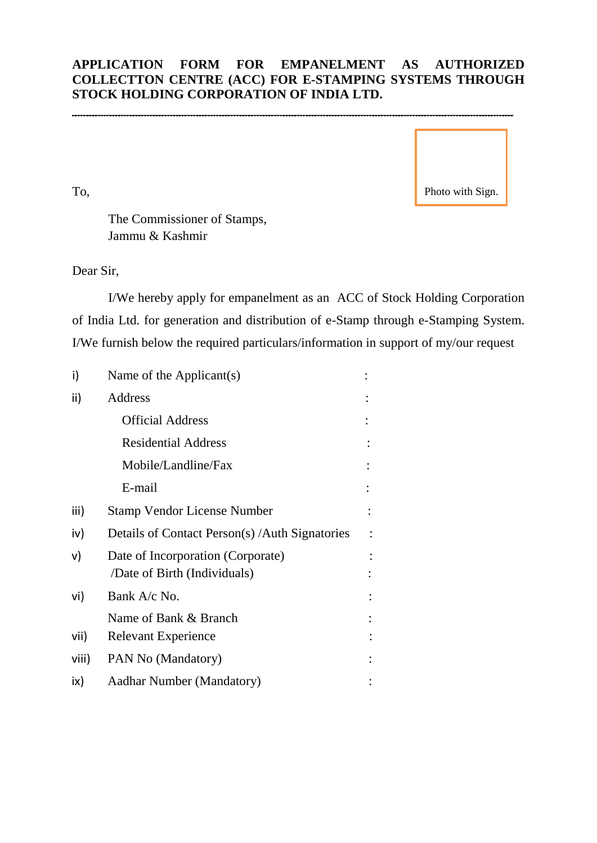## **APPLICATION FORM FOR EMPANELMENT AS AUTHORIZED COLLECTTON CENTRE (ACC) FOR E-STAMPING SYSTEMS THROUGH STOCK HOLDING CORPORATION OF INDIA LTD.**

\_\_\_\_\_\_\_\_\_\_\_\_\_\_\_\_\_\_\_\_\_\_\_\_\_\_\_\_\_\_\_\_\_\_\_\_\_\_\_\_\_\_\_\_\_\_\_\_\_\_\_\_\_\_\_\_\_\_\_\_\_\_\_\_\_\_\_\_

To,

Photo with Sign.

The Commissioner of Stamps, Jammu & Kashmir

Dear Sir,

I/We hereby apply for empanelment as an ACC of Stock Holding Corporation of India Ltd. for generation and distribution of e-Stamp through e-Stamping System. I/We furnish below the required particulars/information in support of my/our request

| i)    | Name of the Applicant(s)                                          |  |
|-------|-------------------------------------------------------------------|--|
| ii)   | Address                                                           |  |
|       | <b>Official Address</b>                                           |  |
|       | <b>Residential Address</b>                                        |  |
|       | Mobile/Landline/Fax                                               |  |
|       | E-mail                                                            |  |
| iii)  | <b>Stamp Vendor License Number</b>                                |  |
| iv)   | Details of Contact Person(s) / Auth Signatories                   |  |
| v)    | Date of Incorporation (Corporate)<br>/Date of Birth (Individuals) |  |
| vi)   | Bank A/c No.                                                      |  |
|       | Name of Bank & Branch                                             |  |
| vii)  | <b>Relevant Experience</b>                                        |  |
| viii) | PAN No (Mandatory)                                                |  |
| ix)   | <b>Aadhar Number (Mandatory)</b>                                  |  |